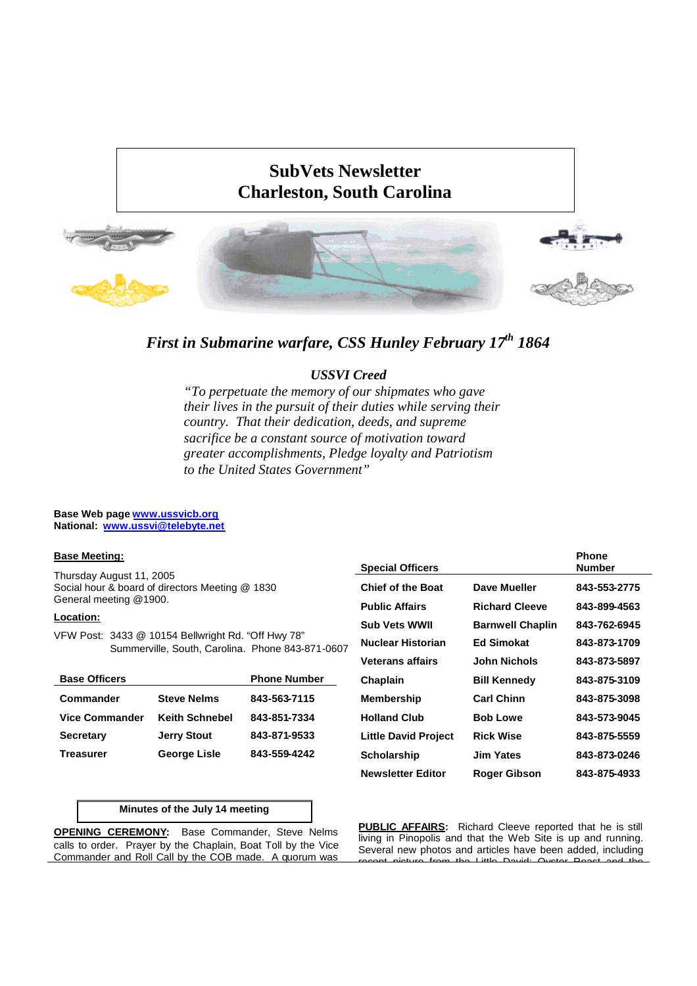# **SubVets Newsletter Charleston, South Carolina**



# *First in Submarine warfare, CSS Hunley February 17th 1864*

# *USSVI Creed*

*"To perpetuate the memory of our shipmates who gave their lives in the pursuit of their duties while serving their country. That their dedication, deeds, and supreme sacrifice be a constant source of motivation toward greater accomplishments, Pledge loyalty and Patriotism to the United States Government"*

**Base Web page www.ussvicb.org National: www.ussvi@telebyte.net**

# **Base Meeting:**

Thursday August 11, 2005 Social hour & board of directors Meeting @ 1830 General meeting @1900.

## **Location:**

VFW Post: 3433 @ 10154 Bellwright Rd. "Off Hwy 78" Summerville, South, Carolina. Phone 843-871-0607

| <b>Base Officers</b>  |                       | <b>Phone Number</b> |
|-----------------------|-----------------------|---------------------|
| Commander             | <b>Steve Nelms</b>    | 843-563-7115        |
| <b>Vice Commander</b> | <b>Keith Schnebel</b> | 843-851-7334        |
| <b>Secretary</b>      | <b>Jerry Stout</b>    | 843-871-9533        |
| <b>Treasurer</b>      | <b>George Lisle</b>   | 843-559-4242        |

| <b>Special Officers</b>     |                         | Phone<br><b>Number</b> |
|-----------------------------|-------------------------|------------------------|
| <b>Chief of the Boat</b>    | Dave Mueller            | 843-553-2775           |
| <b>Public Affairs</b>       | <b>Richard Cleeve</b>   | 843-899-4563           |
| <b>Sub Vets WWII</b>        | <b>Barnwell Chaplin</b> | 843-762-6945           |
| Nuclear Historian           | <b>Ed Simokat</b>       | 843-873-1709           |
| <b>Veterans affairs</b>     | John Nichols            | 843-873-5897           |
| Chaplain                    | <b>Bill Kennedy</b>     | 843-875-3109           |
| <b>Membership</b>           | <b>Carl Chinn</b>       | 843-875-3098           |
| <b>Holland Club</b>         | <b>Bob Lowe</b>         | 843-573-9045           |
| <b>Little David Project</b> | <b>Rick Wise</b>        | 843-875-5559           |
| <b>Scholarship</b>          | <b>Jim Yates</b>        | 843-873-0246           |
| <b>Newsletter Editor</b>    | Roger Gibson            | 843-875-4933           |

#### **Minutes of the July 14 meeting**

**OPENING CEREMONY:** Base Commander, Steve Nelms calls to order. Prayer by the Chaplain, Boat Toll by the Vice Commander and Roll Call by the COB made. A quorum was **PUBLIC AFFAIRS:** Richard Cleeve reported that he is still living in Pinopolis and that the Web Site is up and running. Several new photos and articles have been added, including recent picture from the Little David; Oyster Roast and the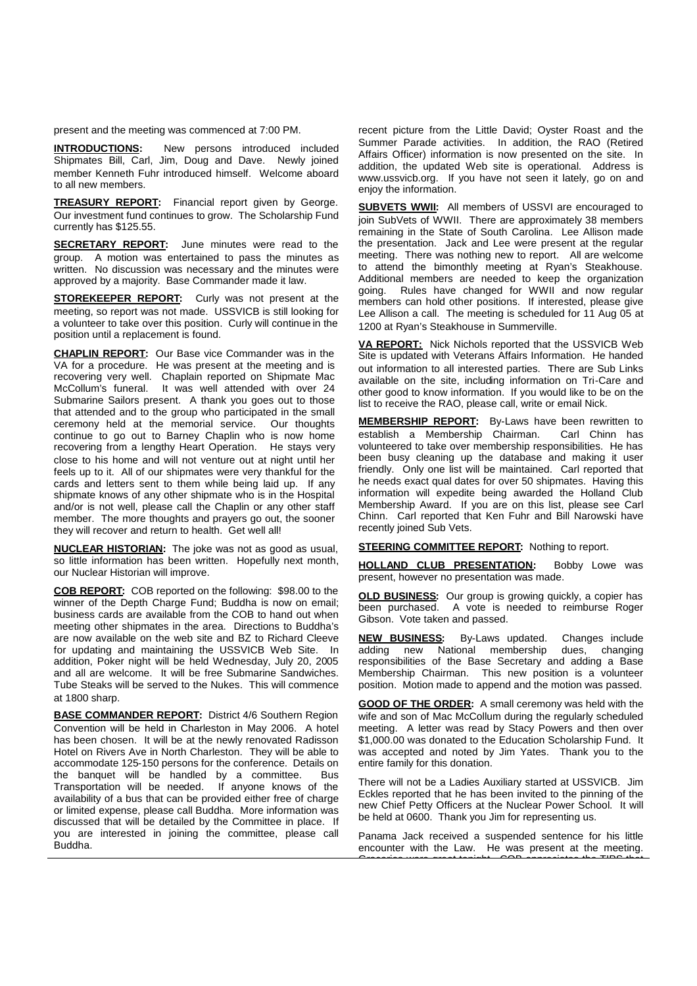present and the meeting was commenced at 7:00 PM.

**INTRODUCTIONS:** New persons introduced included Shipmates Bill, Carl, Jim, Doug and Dave. Newly joined member Kenneth Fuhr introduced himself. Welcome aboard to all new members.

**TREASURY REPORT:** Financial report given by George. Our investment fund continues to grow. The Scholarship Fund currently has \$125.55.

**SECRETARY REPORT:** June minutes were read to the group. A motion was entertained to pass the minutes as written. No discussion was necessary and the minutes were approved by a majority. Base Commander made it law.

**STOREKEEPER REPORT:** Curly was not present at the meeting, so report was not made. USSVICB is still looking for a volunteer to take over this position. Curly will continue in the position until a replacement is found.

**CHAPLIN REPORT:** Our Base vice Commander was in the VA for a procedure. He was present at the meeting and is recovering very well. Chaplain reported on Shipmate Mac McCollum's funeral. It was well attended with over 24 Submarine Sailors present. A thank you goes out to those that attended and to the group who participated in the small ceremony held at the memorial service. Our thoughts continue to go out to Barney Chaplin who is now home recovering from a lengthy Heart Operation. He stays very close to his home and will not venture out at night until her feels up to it. All of our shipmates were very thankful for the cards and letters sent to them while being laid up. If any shipmate knows of any other shipmate who is in the Hospital and/or is not well, please call the Chaplin or any other staff member. The more thoughts and prayers go out, the sooner they will recover and return to health. Get well all!

**NUCLEAR HISTORIAN:** The joke was not as good as usual, so little information has been written. Hopefully next month, our Nuclear Historian will improve.

**COB REPORT:** COB reported on the following: \$98.00 to the winner of the Depth Charge Fund; Buddha is now on email; business cards are available from the COB to hand out when meeting other shipmates in the area. Directions to Buddha's are now available on the web site and BZ to Richard Cleeve for updating and maintaining the USSVICB Web Site. In addition, Poker night will be held Wednesday, July 20, 2005 and all are welcome. It will be free Submarine Sandwiches. Tube Steaks will be served to the Nukes. This will commence at 1800 sharp.

**BASE COMMANDER REPORT:** District 4/6 Southern Region Convention will be held in Charleston in May 2006. A hotel has been chosen. It will be at the newly renovated Radisson Hotel on Rivers Ave in North Charleston. They will be able to accommodate 125-150 persons for the conference. Details on the banquet will be handled by a committee. Bus Transportation will be needed. If anyone knows of the availability of a bus that can be provided either free of charge or limited expense, please call Buddha. More information was discussed that will be detailed by the Committee in place. If you are interested in joining the committee, please call Buddha.

recent picture from the Little David; Oyster Roast and the Summer Parade activities. In addition, the RAO (Retired Affairs Officer) information is now presented on the site. In addition, the updated Web site is operational. Address is www.ussvicb.org. If you have not seen it lately, go on and enjoy the information.

**SUBVETS WWII:** All members of USSVI are encouraged to join SubVets of WWII. There are approximately 38 members remaining in the State of South Carolina. Lee Allison made the presentation. Jack and Lee were present at the regular meeting. There was nothing new to report. All are welcome to attend the bimonthly meeting at Ryan's Steakhouse. Additional members are needed to keep the organization going. Rules have changed for WWII and now regular members can hold other positions. If interested, please give Lee Allison a call. The meeting is scheduled for 11 Aug 05 at 1200 at Ryan's Steakhouse in Summerville.

**VA REPORT:** Nick Nichols reported that the USSVICB Web Site is updated with Veterans Affairs Information. He handed out information to all interested parties. There are Sub Links available on the site, including information on Tri-Care and other good to know information. If you would like to be on the list to receive the RAO, please call, write or email Nick.

**MEMBERSHIP REPORT:** By-Laws have been rewritten to establish a Membership Chairman. Carl Chinn has volunteered to take over membership responsibilities. He has been busy cleaning up the database and making it user friendly. Only one list will be maintained. Carl reported that he needs exact qual dates for over 50 shipmates. Having this information will expedite being awarded the Holland Club Membership Award. If you are on this list, please see Carl Chinn. Carl reported that Ken Fuhr and Bill Narowski have recently joined Sub Vets.

**STEERING COMMITTEE REPORT:** Nothing to report.

**HOLLAND CLUB PRESENTATION:** Bobby Lowe was present, however no presentation was made.

**OLD BUSINESS:** Our group is growing quickly, a copier has been purchased. A vote is needed to reimburse Roger Gibson. Vote taken and passed.

**NEW BUSINESS:** By-Laws updated. Changes include adding new National membership dues, changing responsibilities of the Base Secretary and adding a Base Membership Chairman. This new position is a volunteer position. Motion made to append and the motion was passed.

**GOOD OF THE ORDER:** A small ceremony was held with the wife and son of Mac McCollum during the regularly scheduled meeting. A letter was read by Stacy Powers and then over \$1,000.00 was donated to the Education Scholarship Fund. It was accepted and noted by Jim Yates. Thank you to the entire family for this donation.

There will not be a Ladies Auxiliary started at USSVICB. Jim Eckles reported that he has been invited to the pinning of the new Chief Petty Officers at the Nuclear Power School. It will be held at 0600. Thank you Jim for representing us.

Panama Jack received a suspended sentence for his little encounter with the Law. He was present at the meeting. Groceries were great tonight. COB appreciates the TIPS that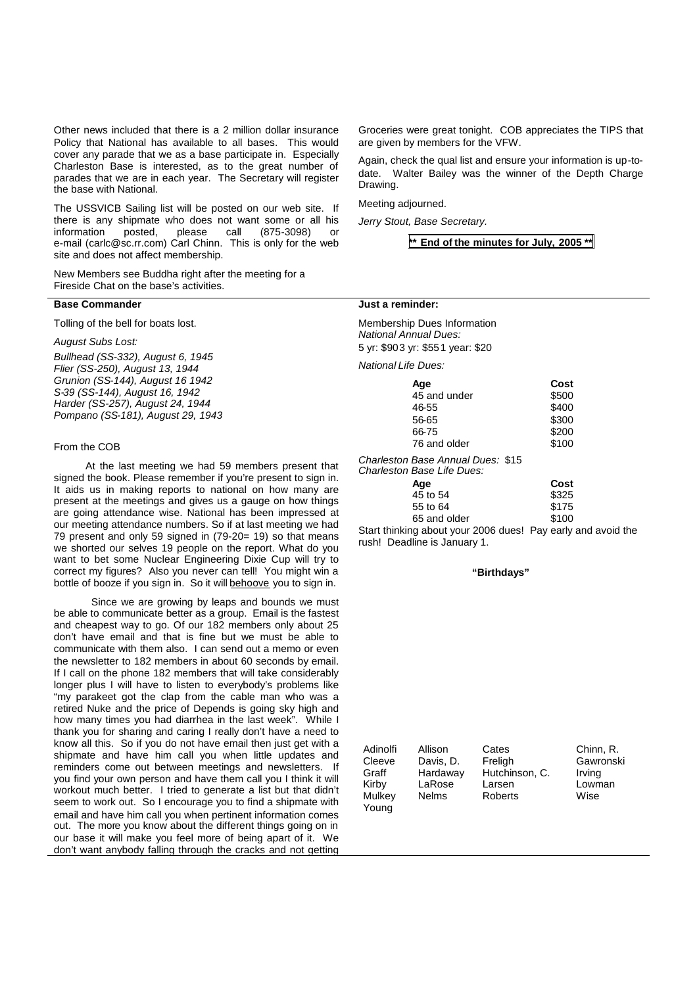Other news included that there is a 2 million dollar insurance Policy that National has available to all bases. This would cover any parade that we as a base participate in. Especially Charleston Base is interested, as to the great number of parades that we are in each year. The Secretary will register the base with National.

The USSVICB Sailing list will be posted on our web site. If there is any shipmate who does not want some or all his information posted, please call (875-3098) or e-mail (carlc@sc.rr.com) Carl Chinn. This is only for the web site and does not affect membership.

New Members see Buddha right after the meeting for a Fireside Chat on the base's activities.

#### **Base Commander**

Tolling of the bell for boats lost.

#### *August Subs Lost:*

*Bullhead (SS-332), August 6, 1945 Flier (SS-250), August 13, 1944 Grunion (SS-144), August 16 1942 S-39 (SS-144), August 16, 1942 Harder (SS-257), August 24, 1944 Pompano (SS-181), August 29, 1943*

#### From the COB

At the last meeting we had 59 members present that signed the book. Please remember if you're present to sign in. It aids us in making reports to national on how many are present at the meetings and gives us a gauge on how things are going attendance wise. National has been impressed at our meeting attendance numbers. So if at last meeting we had 79 present and only 59 signed in (79-20= 19) so that means we shorted our selves 19 people on the report. What do you want to bet some Nuclear Engineering Dixie Cup will try to correct my figures? Also you never can tell! You might win a bottle of booze if you sign in. So it will behoove you to sign in.

Since we are growing by leaps and bounds we must be able to communicate better as a group. Email is the fastest and cheapest way to go. Of our 182 members only about 25 don't have email and that is fine but we must be able to communicate with them also. I can send out a memo or even the newsletter to 182 members in about 60 seconds by email. If I call on the phone 182 members that will take considerably longer plus I will have to listen to everybody's problems like "my parakeet got the clap from the cable man who was a retired Nuke and the price of Depends is going sky high and how many times you had diarrhea in the last week". While I thank you for sharing and caring I really don't have a need to know all this. So if you do not have email then just get with a shipmate and have him call you when little updates and reminders come out between meetings and newsletters. If you find your own person and have them call you I think it will workout much better. I tried to generate a list but that didn't seem to work out. So I encourage you to find a shipmate with email and have him call you when pertinent information comes out. The more you know about the different things going on in our base it will make you feel more of being apart of it. We don't want anybody falling through the cracks and not getting

Groceries were great tonight. COB appreciates the TIPS that are given by members for the VFW.

Again, check the qual list and ensure your information is up-todate. Walter Bailey was the winner of the Depth Charge Drawing.

Meeting adjourned.

*Jerry Stout, Base Secretary.*

**\*\* End of the minutes for July, 2005 \*\***

#### **Just a reminder:**

Membership Dues Information *National Annual Dues:* 5 yr: \$903 yr: \$551 year: \$20

*National Life Dues:*

| Age                                                             | Cost  |  |
|-----------------------------------------------------------------|-------|--|
| 45 and under                                                    | \$500 |  |
| 46-55                                                           | \$400 |  |
| 56-65                                                           | \$300 |  |
| 66-75                                                           | \$200 |  |
| 76 and older                                                    | \$100 |  |
| Charleston Base Annual Dues: \$15<br>Charleston Base Life Dues: |       |  |
| Age                                                             | Cost  |  |
| 45 to 54                                                        | \$325 |  |
| 55 to 64                                                        | \$175 |  |
| 65 and older                                                    | \$100 |  |

Start thinking about your 2006 dues! Pay early and avoid the rush! Deadline is January 1.

### **"Birthdays"**

| Adinolfi | Allison      | Cates          | Chinn, R. |
|----------|--------------|----------------|-----------|
| Cleeve   | Davis, D.    | Freligh        | Gawronski |
| Graff    | Hardaway     | Hutchinson, C. | Irving    |
| Kirby    | LaRose       | Larsen         | Lowman    |
| Mulkey   | <b>Nelms</b> | Roberts        | Wise      |
| Youna    |              |                |           |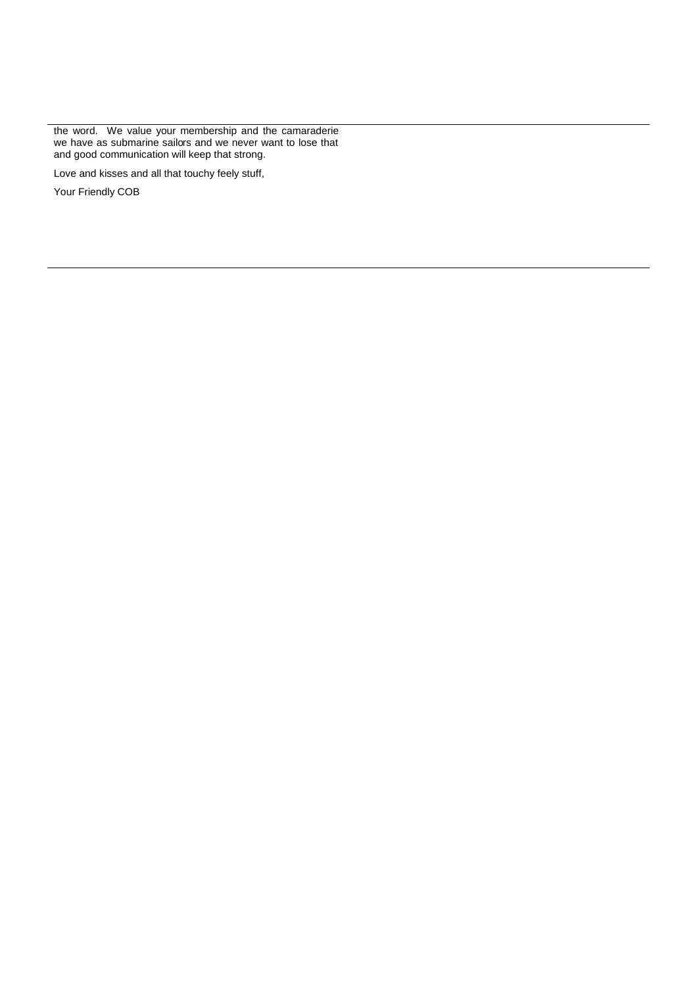the word. We value your membership and the camaraderie we have as submarine sailors and we never want to lose that and good communication will keep that strong.

Love and kisses and all that touchy feely stuff,

Your Friendly COB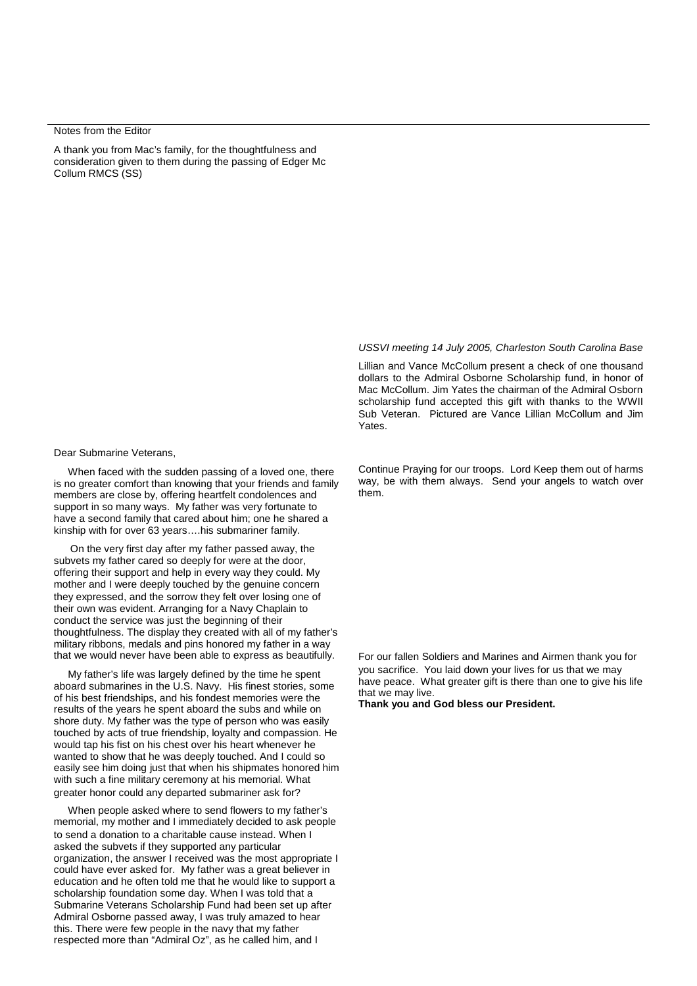Notes from the Editor

A thank you from Mac's family, for the thoughtfulness and consideration given to them during the passing of Edger Mc Collum RMCS (SS)

Dear Submarine Veterans,

When faced with the sudden passing of a loved one, there is no greater comfort than knowing that your friends and family members are close by, offering heartfelt condolences and support in so many ways. My father was very fortunate to have a second family that cared about him; one he shared a kinship with for over 63 years….his submariner family.

On the very first day after my father passed away, the subvets my father cared so deeply for were at the door, offering their support and help in every way they could. My mother and I were deeply touched by the genuine concern they expressed, and the sorrow they felt over losing one of their own was evident. Arranging for a Navy Chaplain to conduct the service was just the beginning of their thoughtfulness. The display they created with all of my father's military ribbons, medals and pins honored my father in a way that we would never have been able to express as beautifully.

My father's life was largely defined by the time he spent aboard submarines in the U.S. Navy. His finest stories, some of his best friendships, and his fondest memories were the results of the years he spent aboard the subs and while on shore duty. My father was the type of person who was easily touched by acts of true friendship, loyalty and compassion. He would tap his fist on his chest over his heart whenever he wanted to show that he was deeply touched. And I could so easily see him doing just that when his shipmates honored him with such a fine military ceremony at his memorial. What greater honor could any departed submariner ask for?

When people asked where to send flowers to my father's memorial, my mother and I immediately decided to ask people to send a donation to a charitable cause instead. When I asked the subvets if they supported any particular organization, the answer I received was the most appropriate I could have ever asked for. My father was a great believer in education and he often told me that he would like to support a scholarship foundation some day. When I was told that a Submarine Veterans Scholarship Fund had been set up after Admiral Osborne passed away, I was truly amazed to hear this. There were few people in the navy that my father respected more than "Admiral Oz", as he called him, and I

*USSVI meeting 14 July 2005, Charleston South Carolina Base*

Lillian and Vance McCollum present a check of one thousand dollars to the Admiral Osborne Scholarship fund, in honor of Mac McCollum. Jim Yates the chairman of the Admiral Osborn scholarship fund accepted this gift with thanks to the WWII Sub Veteran. Pictured are Vance Lillian McCollum and Jim Yates.

Continue Praying for our troops. Lord Keep them out of harms way, be with them always. Send your angels to watch over them.

For our fallen Soldiers and Marines and Airmen thank you for you sacrifice. You laid down your lives for us that we may have peace. What greater gift is there than one to give his life that we may live.

**Thank you and God bless our President.**